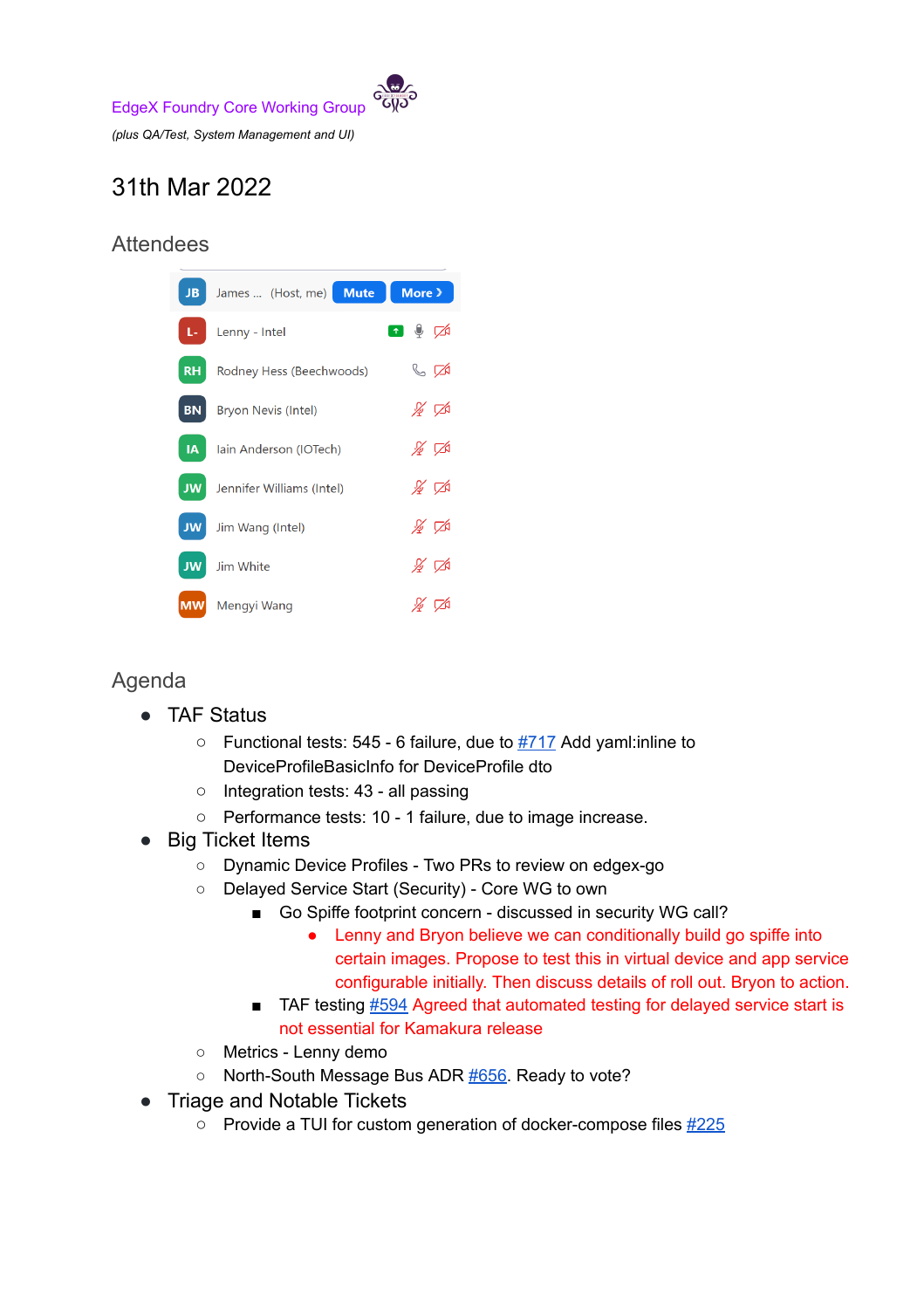

## 31th Mar 2022

## **Attendees**

| JB.       | James  (Host, me) Mute           | More $\geq$                                                                                                                                                                                                                                                                                                                                         |
|-----------|----------------------------------|-----------------------------------------------------------------------------------------------------------------------------------------------------------------------------------------------------------------------------------------------------------------------------------------------------------------------------------------------------|
| $L-1$     | Lenny - Intel                    | $\begin{picture}(20,20) \put(0,0){\line(1,0){10}} \put(15,0){\line(1,0){10}} \put(15,0){\line(1,0){10}} \put(15,0){\line(1,0){10}} \put(15,0){\line(1,0){10}} \put(15,0){\line(1,0){10}} \put(15,0){\line(1,0){10}} \put(15,0){\line(1,0){10}} \put(15,0){\line(1,0){10}} \put(15,0){\line(1,0){10}} \put(15,0){\line(1,0){10}} \put(15,0){\line(1$ |
| $R$ $H$   | Rodney Hess (Beechwoods)         | $\mathbb{C}$ $\mathbb{Z}$                                                                                                                                                                                                                                                                                                                           |
| <b>BN</b> | <b>Bryon Nevis (Intel)</b>       | $\frac{1}{\sqrt{2}}$                                                                                                                                                                                                                                                                                                                                |
|           | <b>IA</b> lain Anderson (IOTech) | $\frac{1}{2}$ $\frac{1}{2}$                                                                                                                                                                                                                                                                                                                         |
|           | JW Jennifer Williams (Intel)     | $\frac{1}{\mathcal{L}}$ $\sqrt{\mathcal{A}}$                                                                                                                                                                                                                                                                                                        |
| <b>JW</b> | Jim Wang (Intel)                 | $\frac{1}{\sqrt{2}}$                                                                                                                                                                                                                                                                                                                                |
| <b>JW</b> | Jim White                        | $\frac{1}{2}$ $\sqrt{2}$                                                                                                                                                                                                                                                                                                                            |
|           | <b>MW</b> Mengyi Wang            | ∦ ಗ                                                                                                                                                                                                                                                                                                                                                 |

## Agenda

- TAF Status
	- $\circ$  Functional tests: 545 6 failure, due to  $\frac{\#717}{4}$  $\frac{\#717}{4}$  $\frac{\#717}{4}$  Add yaml: inline to DeviceProfileBasicInfo for DeviceProfile dto
	- Integration tests: 43 all passing
	- Performance tests: 10 1 failure, due to image increase.
- **Big Ticket Items** 
	- Dynamic Device Profiles Two PRs to review on edgex-go
	- Delayed Service Start (Security) Core WG to own
		- Go Spiffe footprint concern discussed in security WG call?
			- Lenny and Bryon believe we can conditionally build go spiffe into certain images. Propose to test this in virtual device and app service configurable initially. Then discuss details of roll out. Bryon to action.
		- TAF testing [#594](https://github.com/edgexfoundry/edgex-taf/issues/#594) Agreed that automated testing for delayed service start is not essential for Kamakura release
	- Metrics Lenny demo
	- North-South Message Bus ADR [#656.](https://github.com/edgexfoundry/edgex-docs/pull/656) Ready to vote?
- Triage and Notable Tickets
	- **○** Provide a TUI for custom generation of docker-compose files [#225](https://github.com/edgexfoundry/edgex-compose/issues/225)